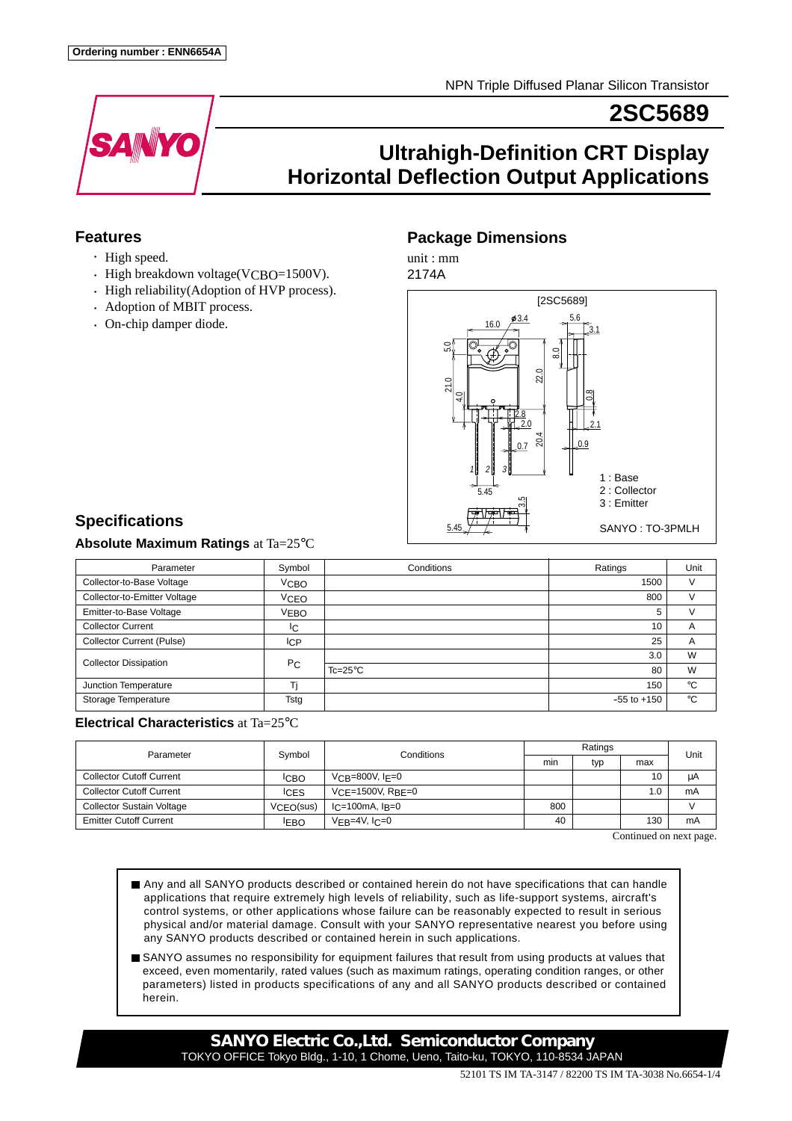

# **2SC5689**

# **Ultrahigh-Definition CRT Display Horizontal Deflection Output Applications**

## **Features**

- High speed.
- High breakdown voltage(VCBO=1500V).
- High reliability(Adoption of HVP process).
- Adoption of MBIT process.
- On-chip damper diode.

## **Package Dimensions**

unit : mm



# **Specifications**

### **Absolute Maximum Ratings** at Ta=25°C

| Parameter                        | Symbol         | Conditions       | Ratings         | Unit        |
|----------------------------------|----------------|------------------|-----------------|-------------|
| Collector-to-Base Voltage        | <b>VCBO</b>    |                  | 1500            | $\vee$      |
| Collector-to-Emitter Voltage     | <b>VCEO</b>    |                  | 800             | v           |
| Emitter-to-Base Voltage          | <b>VEBO</b>    |                  | 5               | v           |
| <b>Collector Current</b>         | IС             |                  | 10              | A           |
| <b>Collector Current (Pulse)</b> | <b>ICP</b>     |                  | 25              | A           |
| <b>Collector Dissipation</b>     | P <sub>C</sub> |                  | 3.0             | W           |
|                                  |                | $Tc=25^{\circ}C$ | 80              | W           |
| Junction Temperature             | т:             |                  | 150             | $^{\circ}C$ |
| Storage Temperature              | Tstg           |                  | $-55$ to $+150$ | °C          |

### **Electrical Characteristics** at Ta=25°C

| Parameter                        | Symbol      | Conditions            | Ratings |     |     | Unit |
|----------------------------------|-------------|-----------------------|---------|-----|-----|------|
|                                  |             |                       | min     | typ | max |      |
| <b>Collector Cutoff Current</b>  | <b>ICBO</b> | $V$ CB=800V, IF=0     |         |     | 10  | μA   |
| <b>Collector Cutoff Current</b>  | <b>ICES</b> | $VCF = 1500V$ , RBF=0 |         |     | 1.0 | mA   |
| <b>Collector Sustain Voltage</b> | VCEO(sus)   | $l = 100$ mA, $l = 0$ | 800     |     |     |      |
| <b>Emitter Cutoff Current</b>    | <b>IEBO</b> | $VFB=4V, IC=0$        | 40      |     | 130 | mA   |

Continued on next page.

- Any and all SANYO products described or contained herein do not have specifications that can handle applications that require extremely high levels of reliability, such as life-support systems, aircraft's control systems, or other applications whose failure can be reasonably expected to result in serious physical and/or material damage. Consult with your SANYO representative nearest you before using any SANYO products described or contained herein in such applications.
- SANYO assumes no responsibility for equipment failures that result from using products at values that exceed, even momentarily, rated values (such as maximum ratings, operating condition ranges, or other parameters) listed in products specifications of any and all SANYO products described or contained herein.

**SANYO Electric Co.,Ltd. Semiconductor Company** TOKYO OFFICE Tokyo Bldg., 1-10, 1 Chome, Ueno, Taito-ku, TOKYO, 110-8534 JAPAN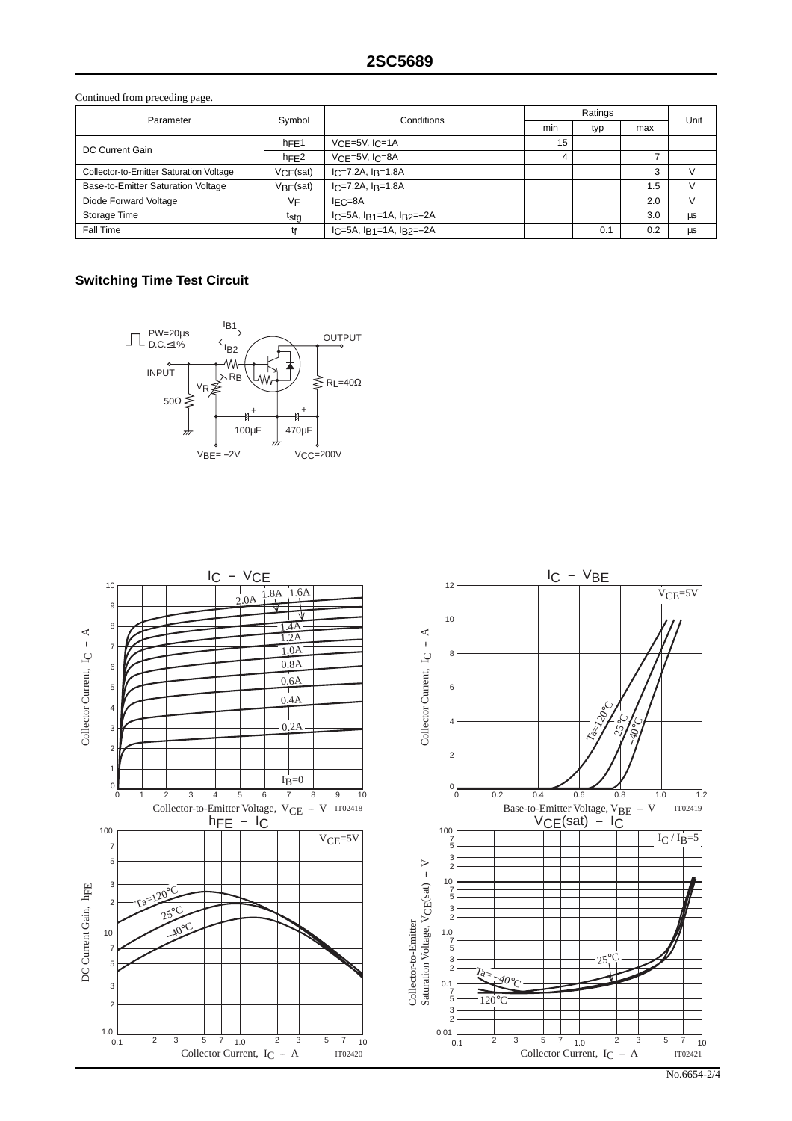Continued from preceding page.

| Parameter                               | Symbol                | Conditions                           | Ratings |     |                | Unit   |
|-----------------------------------------|-----------------------|--------------------------------------|---------|-----|----------------|--------|
|                                         |                       |                                      | min     | typ | max            |        |
| DC Current Gain                         | hFE1                  | $VCF=5V, ICF=1A$                     | 15      |     |                |        |
|                                         | hFE2                  | $VCF=5V$ , $ICF=8A$                  | 4       |     | $\overline{ }$ |        |
| Collector-to-Emitter Saturation Voltage | VCE(sat)              | $IC = 7.2A$ , $IR = 1.8A$            |         |     | 3              | $\vee$ |
| Base-to-Emitter Saturation Voltage      | V <sub>BF</sub> (sat) | $IC=7.2A, IB=1.8A$                   |         |     | 1.5            | $\vee$ |
| Diode Forward Voltage                   | ٧F                    | $IFC=8A$                             |         |     | 2.0            | V      |
| Storage Time                            | tstg                  | $IC = 5A$ , $IB1 = 1A$ , $IB2 = -2A$ |         |     | 3.0            | μs     |
| Fall Time                               | tғ                    | $IC=5A$ , $IB1=1A$ , $IB2=-2A$       |         | 0.1 | 0.2            | μs     |

## **Switching Time Test Circuit**





No.6654-2/4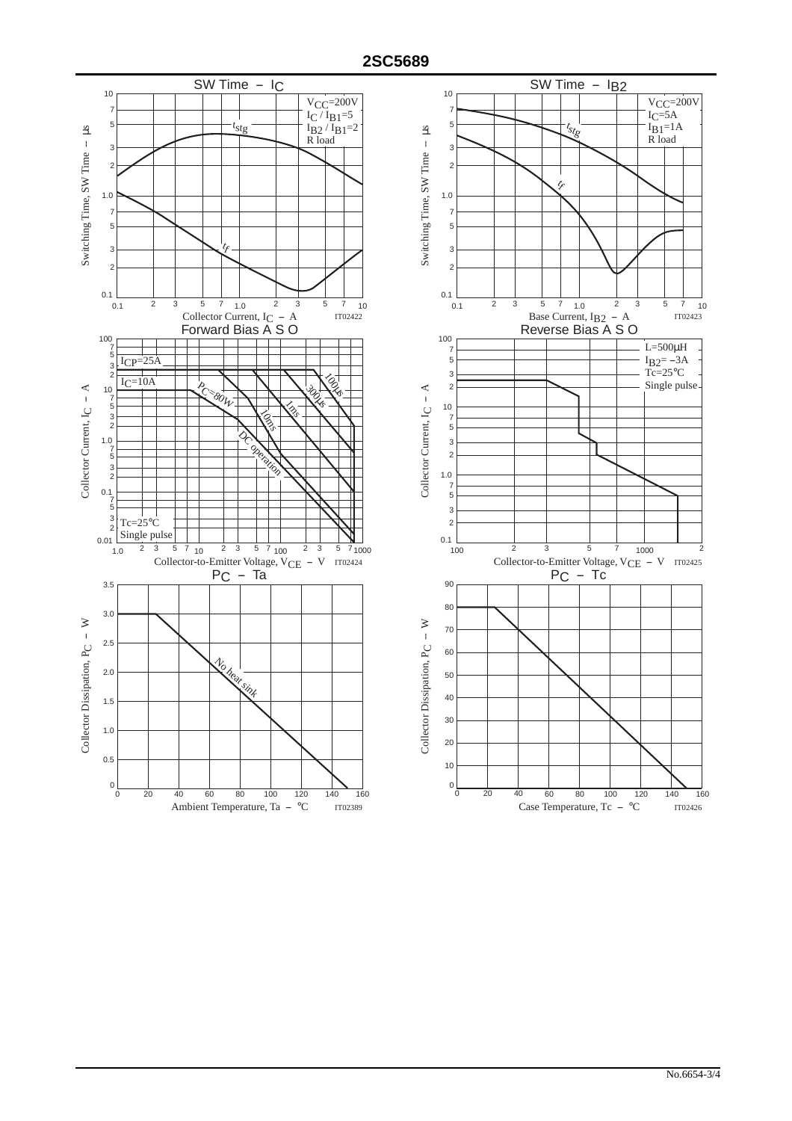